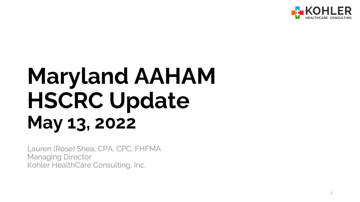

# **Maryland AAHAM HSCRC Update May 13, 2022**

Lauren (Rose) Shea, CPA, CPC, FHFMA Managing Director Kohler HealthCare Consulting, Inc.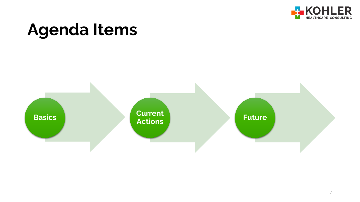

## **Agenda Items**

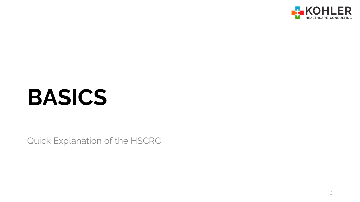

# **BASICS**

Quick Explanation of the HSCRC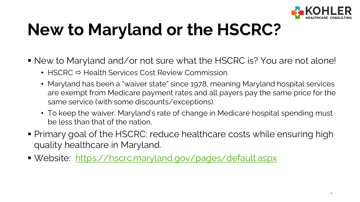

## **New to Maryland or the HSCRC?**

- New to Maryland and/or not sure what the HSCRC is? You are not alone!
	- HSCRC  $\Rightarrow$  Health Services Cost Review Commission
	- Maryland has been a "waiver state" since 1978, meaning Maryland hospital services are exempt from Medicare payment rates and all payers pay the same price for the same service (with some discounts/exceptions).
	- To keep the waiver, Maryland's rate of change in Medicare hospital spending must be less than that of the nation.
- Primary goal of the HSCRC: reduce healthcare costs while ensuring high quality healthcare in Maryland.
- Website: <https://hscrc.maryland.gov/pages/default.aspx>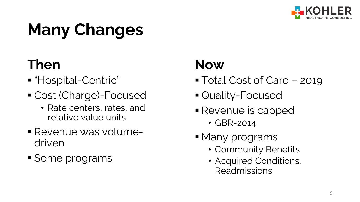

## **Many Changes**

### **Then**

- "Hospital-Centric"
- Cost (Charge)-Focused
	- Rate centers, rates, and relative value units
- Revenue was volumedriven
- Some programs

### **Now**

- Total Cost of Care 2019
- Quality-Focused
- **Revenue is capped** 
	- GBR-2014
- **Many programs** 
	- Community Benefits
	- Acquired Conditions, Readmissions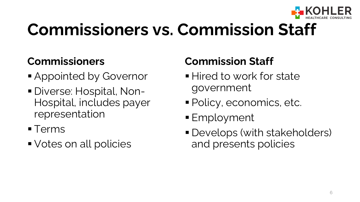

## **Commissioners vs. Commission Staff**

#### **Commissioners**

- **Appointed by Governor**
- Diverse: Hospital, Non-Hospital, includes payer representation
- **Terms**
- Votes on all policies

#### **Commission Staff**

- **Hired to work for state** government
- Policy, economics, etc.
- Employment
- Develops (with stakeholders) and presents policies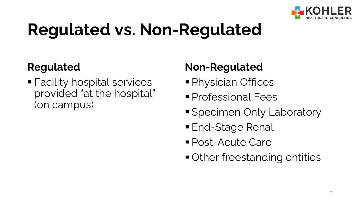

## **Regulated vs. Non-Regulated**

#### **Regulated**

 Facility hospital services provided "at the hospital" (on campus)

#### **Non-Regulated**

- **Physician Offices**
- **Professional Fees**
- **Specimen Only Laboratory**
- **End-Stage Renal**
- Post-Acute Care
- **Other freestanding entities**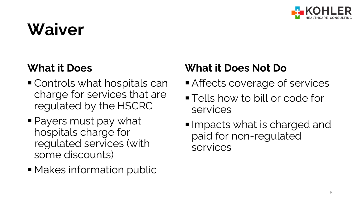

## **Waiver**

#### **What it Does**

- Controls what hospitals can charge for services that are regulated by the HSCRC
- Payers must pay what hospitals charge for regulated services (with some discounts)
- **Makes information public**

#### **What it Does Not Do**

- **Affects coverage of services**
- **Tells how to bill or code for** services
- **Impacts what is charged and** paid for non-regulated services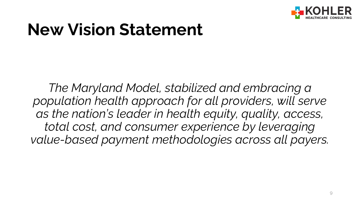

### **New Vision Statement**

*The Maryland Model, stabilized and embracing a population health approach for all providers, will serve as the nation's leader in health equity, quality, access, total cost, and consumer experience by leveraging value-based payment methodologies across all payers.*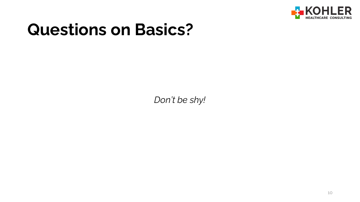

### **Questions on Basics?**

*Don't be shy!*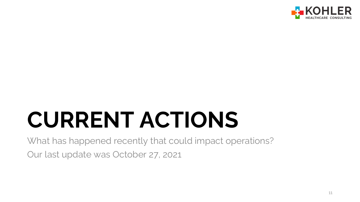

# **CURRENT ACTIONS**

What has happened recently that could impact operations? Our last update was October 27, 2021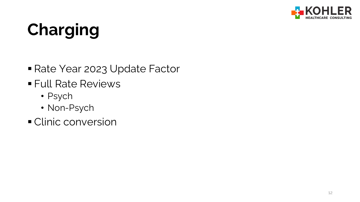

## **Charging**

- Rate Year 2023 Update Factor
- **Full Rate Reviews** 
	- Psych
	- Non-Psych
- **Clinic conversion**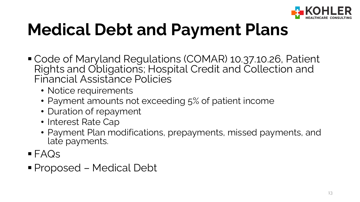

## **Medical Debt and Payment Plans**

- Code of Maryland Regulations (COMAR) 10.37.10.26, Patient Rights and Obligations; Hospital Credit and Collection and Financial Assistance Policies
	- Notice requirements
	- Payment amounts not exceeding 5% of patient income
	- Duration of repayment
	- Interest Rate Cap
	- Payment Plan modifications, prepayments, missed payments, and late payments.
- FAQs
- Proposed Medical Debt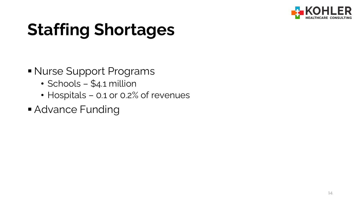

## **Staffing Shortages**

- Nurse Support Programs
	- Schools \$4.1 million
	- Hospitals 0.1 or 0.2% of revenues
- **Advance Funding**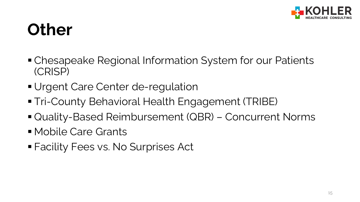

## **Other**

- Chesapeake Regional Information System for our Patients (CRISP)
- **Urgent Care Center de-regulation**
- Tri-County Behavioral Health Engagement (TRIBE)
- Quality-Based Reimbursement (QBR) Concurrent Norms
- Mobile Care Grants
- Facility Fees vs. No Surprises Act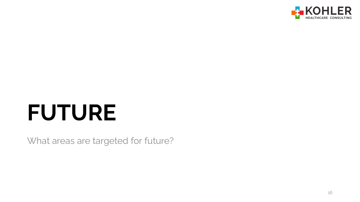

# **FUTURE**

What areas are targeted for future?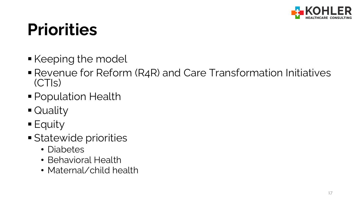

## **Priorities**

- Keeping the model
- Revenue for Reform (R4R) and Care Transformation Initiatives (CTIs)
- Population Health
- **Ouality**
- $\blacksquare$  Equity
- **Statewide priorities** 
	- Diabetes
	- Behavioral Health
	- Maternal/child health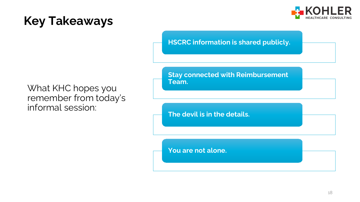

#### **Key Takeaways**

**HSCRC information is shared publicly.**

What KHC hopes you remember from today's informal session:

**Stay connected with Reimbursement Team.**

**The devil is in the details.**

**You are not alone.**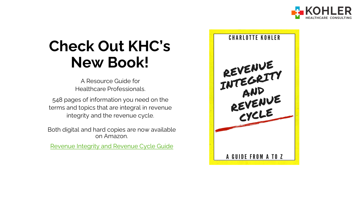

### **Check Out KHC's New Book!**

A Resource Guide for Healthcare Professionals.

548 pages of information you need on the terms and topics that are integral in revenue integrity and the revenue cycle.

Both digital and hard copies are now available on Amazon.

[Revenue Integrity and Revenue Cycle Guide](https://www.amazon.com/Revenue-Integrity-Cycle-Guide-ebook/dp/B09RGDP764/ref=sr_1_1?crid=2BL5LBN3VS258&keywords=revenue+integrity+and+revenue+cycle+a+to+z&qid=1648835351&sprefix=revenue+in%2Caps%2C131&sr=8-1)

**CHARLOTTE KOHLER** REVENUE<br>INTEGRITY ITECHNE<br>REVENUE<br>CYCLE A GUIDE FROM A TO Z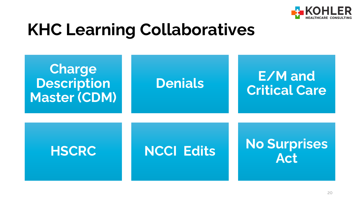

## **KHC Learning Collaboratives**